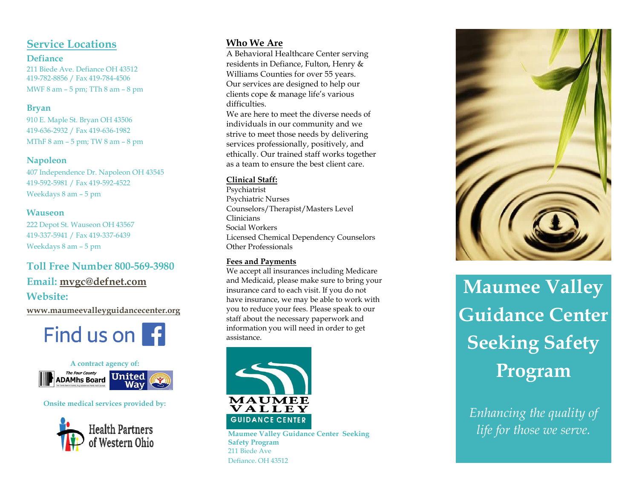# **Service Locations**

#### **Defiance**

211 Biede Ave. Defiance OH 43512 419 -782 -8856 / Fax 419 -784 -4506 MWF 8 am – 5 pm; TTh 8 am – 8 pm

### **Bryan**

910 E. Maple St. Bryan OH 43506 419 -636 -2932 / Fax 419 -636 -1982 MThF 8 am – 5 pm; TW 8 am – 8 pm

## **Napoleon**

407 Independence Dr. Napoleon OH 43545 419 -592 -5981 / Fax 419 -592 -4522 Weekdays 8 am – 5 pm

## **Wauseon**

222 Depot St. Wauseon OH 43567 419 -337 -5941 / Fax 419 -337 -6439 Weekdays 8 am – 5 pm

# **Toll Free Number 800 -569 -3980 Email: [mvgc@defnet.com](mailto:mvgc@defnet.com)**

# **Website:**

**[www.maumeevalleyguidancecenter.org](http://www.maumeevalleyguidancecenter.org/)**





#### **Onsite medical services provided by:**



# **Who We Are**

A Behavioral Healthcare Center serving residents in Defiance, Fulton, Henry & Williams Counties for over 55 years. Our services are designed to help our clients cope & manage life's various difficulties.

We are here to meet the diverse needs of individuals in our community and we strive to meet those needs by delivering services professionally, positively, and ethically. Our trained staff works together as a team to ensure the best client care.

### **Clinical Staff:**

Psychiatrist Psychiatric Nurses Counselors/Therapist/Masters Level Clinicians Social Workers Licensed Chemical Dependency Counselors Other Professionals

#### **Fees and Payments**

We accept all insurances including Medicare and Medicaid, please make sure to bring your insurance card to each visit. If you do not have insurance, we may be able to work with you to reduce your fees. Please speak to our staff about the necessary paperwork and information you will need in order to get assistance.



**Maumee Valley Guidance Center Seeking Safety Program** 211 Biede Ave Defiance, OH 43512



**Maumee Valley Guidance Center Seeking Safety Program**

*Enhancing the quality of life for those we serve.*